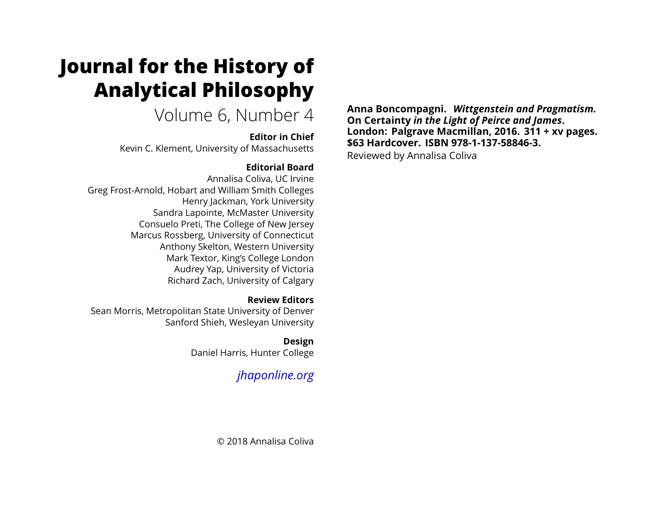# **Journal for the History of Analytical Philosophy**

## Volume 6, Number 4

#### **Editor in Chief**

Kevin C. Klement, University of Massachusetts

#### **Editorial Board**

Annalisa Coliva, UC Irvine Greg Frost-Arnold, Hobart and William Smith Colleges Henry Jackman, York University Sandra Lapointe, McMaster University Consuelo Preti, The College of New Jersey Marcus Rossberg, University of Connecticut Anthony Skelton, Western University Mark Textor, King's College London Audrey Yap, University of Victoria Richard Zach, University of Calgary

#### **Review Editors**

Sean Morris, Metropolitan State University of Denver Sanford Shieh, Wesleyan University

#### **Design**

Daniel Harris, Hunter College

### *[jhaponline.org](https://jhaponline.org)*

**Anna Boncompagni.** *Wittgenstein and Pragmatism.* **On Certainty** *in the Light of Peirce and James***. London: Palgrave Macmillan, 2016. 311 + xv pages. \$63 Hardcover. ISBN 978-1-137-58846-3.**

Reviewed by Annalisa Coliva

© 2018 Annalisa Coliva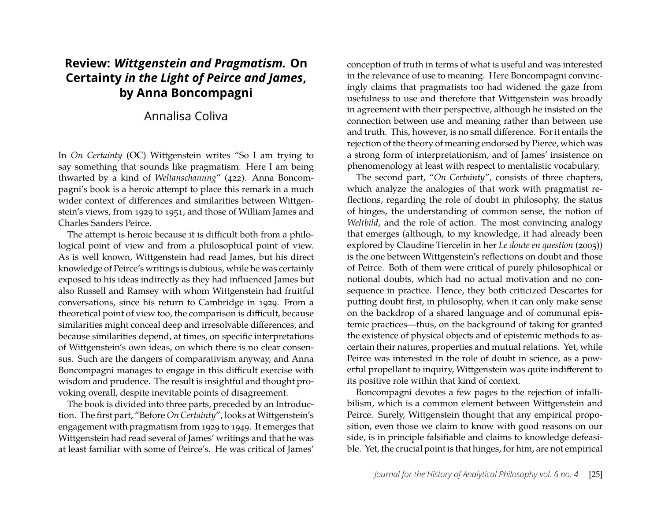#### **Review:** *Wittgenstein and Pragmatism.* **On Certainty** *in the Light of Peirce and James***, by Anna Boncompagni**

#### Annalisa Coliva

In *On Certainty* (OC) Wittgenstein writes "So I am trying to say something that sounds like pragmatism. Here I am being thwarted by a kind of *Weltanschauung*" (422). Anna Boncompagni's book is a heroic attempt to place this remark in a much wider context of differences and similarities between Wittgenstein's views, from 1929 to 1951, and those of William James and Charles Sanders Peirce.

The attempt is heroic because it is difficult both from a philological point of view and from a philosophical point of view. As is well known, Wittgenstein had read James, but his direct knowledge of Peirce's writings is dubious, while he was certainly exposed to his ideas indirectly as they had influenced James but also Russell and Ramsey with whom Wittgenstein had fruitful conversations, since his return to Cambridge in 1929. From a theoretical point of view too, the comparison is difficult, because similarities might conceal deep and irresolvable differences, and because similarities depend, at times, on specific interpretations of Wittgenstein's own ideas, on which there is no clear consensus. Such are the dangers of comparativism anyway, and Anna Boncompagni manages to engage in this difficult exercise with wisdom and prudence. The result is insightful and thought provoking overall, despite inevitable points of disagreement.

The book is divided into three parts, preceded by an Introduction. The first part, "Before *On Certainty*", looks at Wittgenstein's engagement with pragmatism from 1929 to 1949. It emerges that Wittgenstein had read several of James' writings and that he was at least familiar with some of Peirce's. He was critical of James'

conception of truth in terms of what is useful and was interested in the relevance of use to meaning. Here Boncompagni convincingly claims that pragmatists too had widened the gaze from usefulness to use and therefore that Wittgenstein was broadly in agreement with their perspective, although he insisted on the connection between use and meaning rather than between use and truth. This, however, is no small difference. For it entails the rejection of the theory of meaning endorsed by Pierce, which was a strong form of interpretationism, and of James' insistence on phenomenology at least with respect to mentalistic vocabulary.

The second part, "*On Certainty*", consists of three chapters, which analyze the analogies of that work with pragmatist reflections, regarding the role of doubt in philosophy, the status of hinges, the understanding of common sense, the notion of *Weltbild*, and the role of action. The most convincing analogy that emerges (although, to my knowledge, it had already been explored by Claudine Tiercelin in her *Le doute en question* (2005)) is the one between Wittgenstein's reflections on doubt and those of Peirce. Both of them were critical of purely philosophical or notional doubts, which had no actual motivation and no consequence in practice. Hence, they both criticized Descartes for putting doubt first, in philosophy, when it can only make sense on the backdrop of a shared language and of communal epistemic practices—thus, on the background of taking for granted the existence of physical objects and of epistemic methods to ascertain their natures, properties and mutual relations. Yet, while Peirce was interested in the role of doubt in science, as a powerful propellant to inquiry, Wittgenstein was quite indifferent to its positive role within that kind of context.

Boncompagni devotes a few pages to the rejection of infallibilism, which is a common element between Wittgenstein and Peirce. Surely, Wittgenstein thought that any empirical proposition, even those we claim to know with good reasons on our side, is in principle falsifiable and claims to knowledge defeasible. Yet, the crucial point is that hinges, for him, are not empirical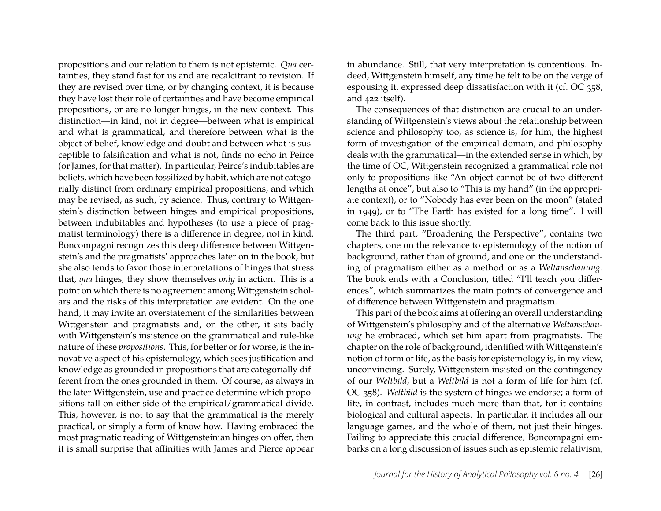propositions and our relation to them is not epistemic. *Qua* certainties, they stand fast for us and are recalcitrant to revision. If they are revised over time, or by changing context, it is because they have lost their role of certainties and have become empirical propositions, or are no longer hinges, in the new context. This distinction—in kind, not in degree—between what is empirical and what is grammatical, and therefore between what is the object of belief, knowledge and doubt and between what is susceptible to falsification and what is not, finds no echo in Peirce (or James, for that matter). In particular, Peirce's indubitables are beliefs, which have been fossilized by habit, which are not categorially distinct from ordinary empirical propositions, and which may be revised, as such, by science. Thus, contrary to Wittgenstein's distinction between hinges and empirical propositions, between indubitables and hypotheses (to use a piece of pragmatist terminology) there is a difference in degree, not in kind. Boncompagni recognizes this deep difference between Wittgenstein's and the pragmatists' approaches later on in the book, but she also tends to favor those interpretations of hinges that stress that, *qua* hinges, they show themselves *only* in action. This is a point on which there is no agreement among Wittgenstein scholars and the risks of this interpretation are evident. On the one hand, it may invite an overstatement of the similarities between Wittgenstein and pragmatists and, on the other, it sits badly with Wittgenstein's insistence on the grammatical and rule-like nature of these *propositions*. This, for better or for worse, is the innovative aspect of his epistemology, which sees justification and knowledge as grounded in propositions that are categorially different from the ones grounded in them. Of course, as always in the later Wittgenstein, use and practice determine which propositions fall on either side of the empirical/grammatical divide. This, however, is not to say that the grammatical is the merely practical, or simply a form of know how. Having embraced the most pragmatic reading of Wittgensteinian hinges on offer, then it is small surprise that affinities with James and Pierce appear in abundance. Still, that very interpretation is contentious. Indeed, Wittgenstein himself, any time he felt to be on the verge of espousing it, expressed deep dissatisfaction with it (cf. OC 358, and 422 itself).

The consequences of that distinction are crucial to an understanding of Wittgenstein's views about the relationship between science and philosophy too, as science is, for him, the highest form of investigation of the empirical domain, and philosophy deals with the grammatical—in the extended sense in which, by the time of OC, Wittgenstein recognized a grammatical role not only to propositions like "An object cannot be of two different lengths at once", but also to "This is my hand" (in the appropriate context), or to "Nobody has ever been on the moon" (stated in 1949), or to "The Earth has existed for a long time". I will come back to this issue shortly.

The third part, "Broadening the Perspective", contains two chapters, one on the relevance to epistemology of the notion of background, rather than of ground, and one on the understanding of pragmatism either as a method or as a *Weltanschauung*. The book ends with a Conclusion, titled "I'll teach you differences", which summarizes the main points of convergence and of difference between Wittgenstein and pragmatism.

This part of the book aims at offering an overall understanding of Wittgenstein's philosophy and of the alternative *Weltanschauung* he embraced, which set him apart from pragmatists. The chapter on the role of background, identified with Wittgenstein's notion of form of life, as the basis for epistemology is, in my view, unconvincing. Surely, Wittgenstein insisted on the contingency of our *Weltbild*, but a *Weltbild* is not a form of life for him (cf. OC 358). *Weltbild* is the system of hinges we endorse; a form of life, in contrast, includes much more than that, for it contains biological and cultural aspects. In particular, it includes all our language games, and the whole of them, not just their hinges. Failing to appreciate this crucial difference, Boncompagni embarks on a long discussion of issues such as epistemic relativism,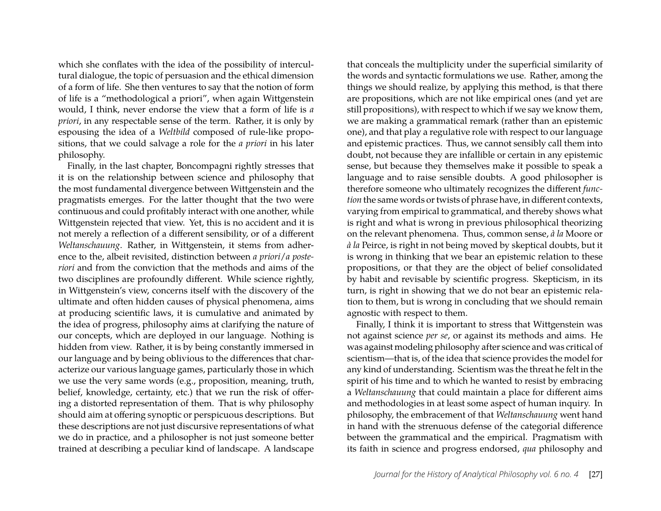which she conflates with the idea of the possibility of intercultural dialogue, the topic of persuasion and the ethical dimension of a form of life. She then ventures to say that the notion of form of life is a "methodological a priori", when again Wittgenstein would, I think, never endorse the view that a form of life is *a priori*, in any respectable sense of the term. Rather, it is only by espousing the idea of a *Weltbild* composed of rule-like propositions, that we could salvage a role for the *a priori* in his later philosophy.

Finally, in the last chapter, Boncompagni rightly stresses that it is on the relationship between science and philosophy that the most fundamental divergence between Wittgenstein and the pragmatists emerges. For the latter thought that the two were continuous and could profitably interact with one another, while Wittgenstein rejected that view. Yet, this is no accident and it is not merely a reflection of a different sensibility, or of a different *Weltanschauung*. Rather, in Wittgenstein, it stems from adherence to the, albeit revisited, distinction between *a priori*/*a posteriori* and from the conviction that the methods and aims of the two disciplines are profoundly different. While science rightly, in Wittgenstein's view, concerns itself with the discovery of the ultimate and often hidden causes of physical phenomena, aims at producing scientific laws, it is cumulative and animated by the idea of progress, philosophy aims at clarifying the nature of our concepts, which are deployed in our language. Nothing is hidden from view. Rather, it is by being constantly immersed in our language and by being oblivious to the differences that characterize our various language games, particularly those in which we use the very same words (e.g., proposition, meaning, truth, belief, knowledge, certainty, etc.) that we run the risk of offering a distorted representation of them. That is why philosophy should aim at offering synoptic or perspicuous descriptions. But these descriptions are not just discursive representations of what we do in practice, and a philosopher is not just someone better trained at describing a peculiar kind of landscape. A landscape

that conceals the multiplicity under the superficial similarity of the words and syntactic formulations we use. Rather, among the things we should realize, by applying this method, is that there are propositions, which are not like empirical ones (and yet are still propositions), with respect to which if we say we know them, we are making a grammatical remark (rather than an epistemic one), and that play a regulative role with respect to our language and epistemic practices. Thus, we cannot sensibly call them into doubt, not because they are infallible or certain in any epistemic sense, but because they themselves make it possible to speak a language and to raise sensible doubts. A good philosopher is therefore someone who ultimately recognizes the different *function* the same words or twists of phrase have, in different contexts, varying from empirical to grammatical, and thereby shows what is right and what is wrong in previous philosophical theorizing on the relevant phenomena. Thus, common sense, *à la* Moore or *à la* Peirce, is right in not being moved by skeptical doubts, but it is wrong in thinking that we bear an epistemic relation to these propositions, or that they are the object of belief consolidated by habit and revisable by scientific progress. Skepticism, in its turn, is right in showing that we do not bear an epistemic relation to them, but is wrong in concluding that we should remain agnostic with respect to them.

Finally, I think it is important to stress that Wittgenstein was not against science *per se*, or against its methods and aims. He was against modeling philosophy after science and was critical of scientism—that is, of the idea that science provides the model for any kind of understanding. Scientism was the threat he felt in the spirit of his time and to which he wanted to resist by embracing a *Weltanschauung* that could maintain a place for different aims and methodologies in at least some aspect of human inquiry. In philosophy, the embracement of that *Weltanschauung* went hand in hand with the strenuous defense of the categorial difference between the grammatical and the empirical. Pragmatism with its faith in science and progress endorsed, *qua* philosophy and